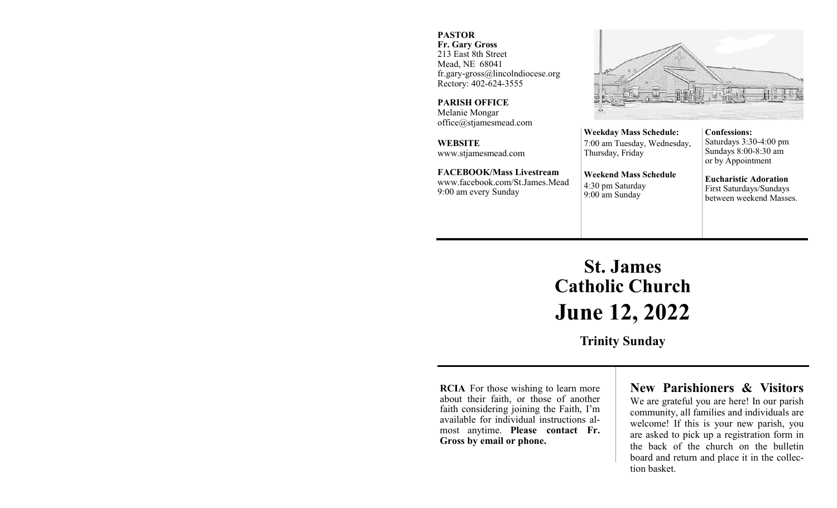#### **PASTOR**

**Fr. Gary Gross** 213 East 8th Street Mead, NE 68041 fr.gary-gross@lincolndiocese.org Rectory: 402-624-3555

**PARISH OFFICE** Melanie Mongar office@stjamesmead.com

**WEBSITE** www.stjamesmead.com

**FACEBOOK/Mass Livestream** [www.facebook.com/St.James.Mead](https://www.facebook.com/St.James.Mead/) 9:00 am every Sunday

**Confessions:**  Saturdays 3:30-4:00 pm Sundays 8:00-8:30 am or by Appointment

**Eucharistic Adoration**  First Saturdays/Sundays between weekend Masses.

# **St. James Catholic Church June 12, 2022**

**Weekday Mass Schedule:**  7:00 am Tuesday, Wednesday,

**Weekend Mass Schedule**

Thursday, Friday

4:30 pm Saturday 9:00 am Sunday

**Trinity Sunday**

**RCIA** For those wishing to learn more about their faith, or those of another faith considering joining the Faith, I'm available for individual instructions almost anytime. **Please contact Fr. Gross by email or phone.**

# **New Parishioners & Visitors**

We are grateful you are here! In our parish community, all families and individuals are welcome! If this is your new parish, you are asked to pick up a registration form in the back of the church on the bulletin board and return and place it in the collection basket.